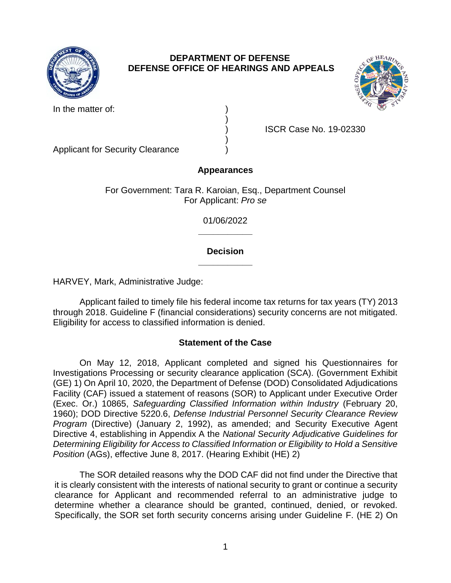

# **DEPARTMENT OF DEFENSE DEFENSE OFFICE OF HEARINGS AND APPEALS**



In the matter of:

) ISCR Case No. 19-02330

Applicant for Security Clearance )

# **Appearances**

)

)

For Government: Tara R. Karoian, Esq., Department Counsel For Applicant: *Pro se* 

> **\_\_\_\_\_\_\_\_\_\_\_**  01/06/2022

## **\_\_\_\_\_\_\_\_\_\_\_ Decision**

HARVEY, Mark, Administrative Judge:

 Applicant failed to timely file his federal income tax returns for tax years (TY) 2013 through 2018. Guideline F (financial considerations) security concerns are not mitigated. Eligibility for access to classified information is denied.

# **Statement of the Case**

 On May 12, 2018, Applicant completed and signed his Questionnaires for Investigations Processing or security clearance application (SCA). (Government Exhibit (GE) 1) On April 10, 2020, the Department of Defense (DOD) Consolidated Adjudications Facility (CAF) issued a statement of reasons (SOR) to Applicant under Executive Order  (Exec. Or.) 10865, *Safeguarding Classified Information within Industry* (February 20, *Program* (Directive) (January 2, 1992), as amended; and Security Executive Agent Directive 4, establishing in Appendix A the *National Security Adjudicative Guidelines for Determining Eligibility for Access to Classified Information or Eligibility to Hold a Sensitive*  1960); DOD Directive 5220.6, *Defense Industrial Personnel Security Clearance Review Position* (AGs), effective June 8, 2017. (Hearing Exhibit (HE) 2)

 The SOR detailed reasons why the DOD CAF did not find under the Directive that it is clearly consistent with the interests of national security to grant or continue a security clearance for Applicant and recommended referral to an administrative judge to determine whether a clearance should be granted, continued, denied, or revoked. Specifically, the SOR set forth security concerns arising under Guideline F. (HE 2) On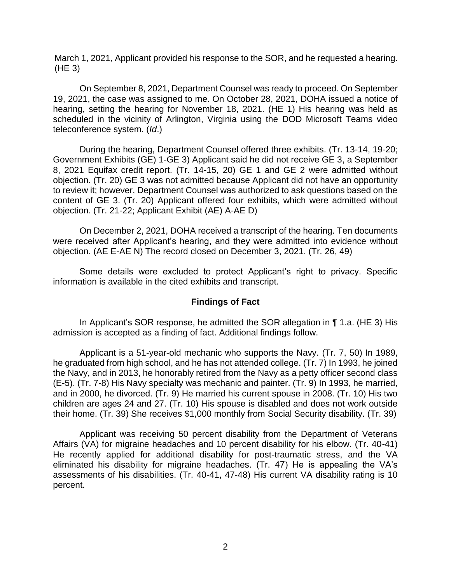March 1, 2021, Applicant provided his response to the SOR, and he requested a hearing. (HE 3)

 On September 8, 2021, Department Counsel was ready to proceed. On September 19, 2021, the case was assigned to me. On October 28, 2021, DOHA issued a notice of hearing, setting the hearing for November 18, 2021. (HE 1) His hearing was held as scheduled in the vicinity of Arlington, Virginia using the DOD Microsoft Teams video teleconference system. (*Id*.)

 During the hearing, Department Counsel offered three exhibits. (Tr. 13-14, 19-20; 8, 2021 Equifax credit report. (Tr. 14-15, 20) GE 1 and GE 2 were admitted without objection. (Tr. 20) GE 3 was not admitted because Applicant did not have an opportunity to review it; however, Department Counsel was authorized to ask questions based on the content of GE 3. (Tr. 20) Applicant offered four exhibits, which were admitted without Government Exhibits (GE) 1-GE 3) Applicant said he did not receive GE 3, a September objection. (Tr. 21-22; Applicant Exhibit (AE) A-AE D)

 On December 2, 2021, DOHA received a transcript of the hearing. Ten documents were received after Applicant's hearing, and they were admitted into evidence without objection. (AE E-AE N) The record closed on December 3, 2021. (Tr. 26, 49)

Some details were excluded to protect Applicant's right to privacy. Specific information is available in the cited exhibits and transcript.

## **Findings of Fact**

In Applicant's SOR response, he admitted the SOR allegation in ¶ 1.a. (HE 3) His admission is accepted as a finding of fact. Additional findings follow.

 Applicant is a 51-year-old mechanic who supports the Navy. (Tr. 7, 50) In 1989, he graduated from high school, and he has not attended college. (Tr. 7) In 1993, he joined the Navy, and in 2013, he honorably retired from the Navy as a petty officer second class (E-5). (Tr. 7-8) His Navy specialty was mechanic and painter. (Tr. 9) In 1993, he married, and in 2000, he divorced. (Tr. 9) He married his current spouse in 2008. (Tr. 10) His two children are ages 24 and 27. (Tr. 10) His spouse is disabled and does not work outside their home. (Tr. 39) She receives \$1,000 monthly from Social Security disability. (Tr. 39)

 Applicant was receiving 50 percent disability from the Department of Veterans Affairs (VA) for migraine headaches and 10 percent disability for his elbow. (Tr. 40-41) He recently applied for additional disability for post-traumatic stress, and the VA eliminated his disability for migraine headaches. (Tr. 47) He is appealing the VA's assessments of his disabilities. (Tr. 40-41, 47-48) His current VA disability rating is 10 percent.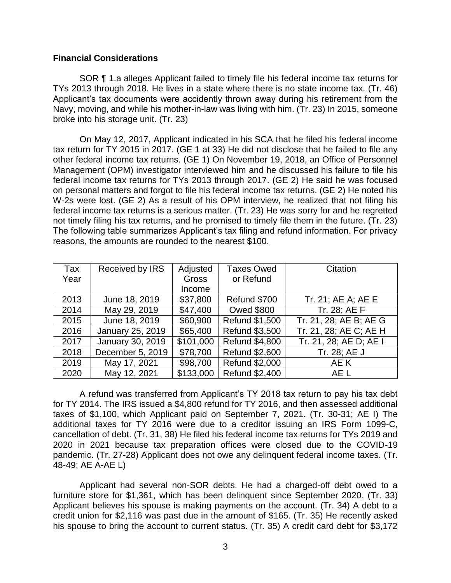## **Financial Considerations**

 SOR ¶ 1.a alleges Applicant failed to timely file his federal income tax returns for TYs 2013 through 2018. He lives in a state where there is no state income tax. (Tr. 46) Applicant's tax documents were accidently thrown away during his retirement from the Navy, moving, and while his mother-in-law was living with him. (Tr. 23) In 2015, someone broke into his storage unit. (Tr. 23)

 On May 12, 2017, Applicant indicated in his SCA that he filed his federal income tax return for TY 2015 in 2017. (GE 1 at 33) He did not disclose that he failed to file any other federal income tax returns. (GE 1) On November 19, 2018, an Office of Personnel Management (OPM) investigator interviewed him and he discussed his failure to file his federal income tax returns for TYs 2013 through 2017. (GE 2) He said he was focused on personal matters and forgot to file his federal income tax returns. (GE 2) He noted his W-2s were lost. (GE 2) As a result of his OPM interview, he realized that not filing his not timely filing his tax returns, and he promised to timely file them in the future. (Tr. 23) The following table summarizes Applicant's tax filing and refund information. For privacy federal income tax returns is a serious matter. (Tr. 23) He was sorry for and he regretted reasons, the amounts are rounded to the nearest \$100.

| Tax  | Received by IRS  | Adjusted     | <b>Taxes Owed</b>     | Citation               |
|------|------------------|--------------|-----------------------|------------------------|
| Year |                  | <b>Gross</b> | or Refund             |                        |
|      |                  | Income       |                       |                        |
| 2013 | June 18, 2019    | \$37,800     | Refund \$700          | Tr. 21; AE A; AE E     |
| 2014 | May 29, 2019     | \$47,400     | <b>Owed \$800</b>     | Tr. 28; AE F           |
| 2015 | June 18, 2019    | \$60,900     | <b>Refund \$1,500</b> | Tr. 21, 28; AE B; AE G |
| 2016 | January 25, 2019 | \$65,400     | <b>Refund \$3,500</b> | Tr. 21, 28; AE C; AE H |
| 2017 | January 30, 2019 | \$101,000    | <b>Refund \$4,800</b> | Tr. 21, 28; AE D; AE I |
| 2018 | December 5, 2019 | \$78,700     | <b>Refund \$2,600</b> | Tr. 28; AE J           |
| 2019 | May 17, 2021     | \$98,700     | <b>Refund \$2,000</b> | AE K                   |
| 2020 | May 12, 2021     | \$133,000    | Refund \$2,400        | AE L                   |

 A refund was transferred from Applicant's TY 2018 tax return to pay his tax debt for TY 2014. The IRS issued a \$4,800 refund for TY 2016, and then assessed additional taxes of \$1,100, which Applicant paid on September 7, 2021. (Tr. 30-31; AE I) The additional taxes for TY 2016 were due to a creditor issuing an IRS Form 1099-C, cancellation of debt. (Tr. 31, 38) He filed his federal income tax returns for TYs 2019 and 2020 in 2021 because tax preparation offices were closed due to the COVID-19 pandemic. (Tr. 27-28) Applicant does not owe any delinquent federal income taxes. (Tr. 48-49; AE A-AE L)

 Applicant had several non-SOR debts. He had a charged-off debt owed to a furniture store for \$1,361, which has been delinquent since September 2020. (Tr. 33) Applicant believes his spouse is making payments on the account. (Tr. 34) A debt to a credit union for \$2,116 was past due in the amount of \$165. (Tr. 35) He recently asked his spouse to bring the account to current status. (Tr. 35) A credit card debt for \$3,172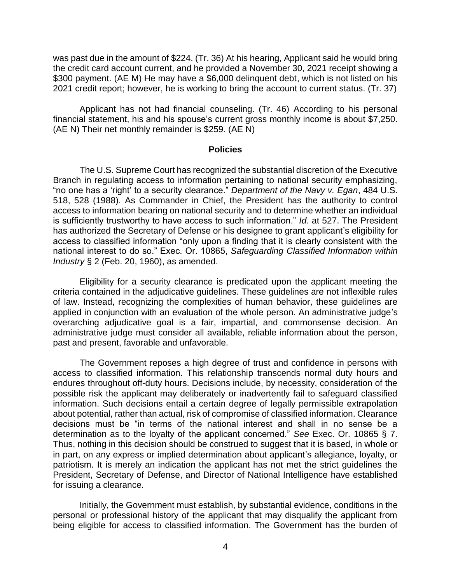was past due in the amount of \$224. (Tr. 36) At his hearing, Applicant said he would bring the credit card account current, and he provided a November 30, 2021 receipt showing a \$300 payment. (AE M) He may have a \$6,000 delinquent debt, which is not listed on his 2021 credit report; however, he is working to bring the account to current status. (Tr. 37)

 Applicant has not had financial counseling. (Tr. 46) According to his personal financial statement, his and his spouse's current gross monthly income is about \$7,250. (AE N) Their net monthly remainder is \$259. (AE N)

#### **Policies**

 The U.S. Supreme Court has recognized the substantial discretion of the Executive Branch in regulating access to information pertaining to national security emphasizing, "no one has a 'right' to a security clearance." *Department of the Navy v. Egan*, 484 U.S. 518, 528 (1988). As Commander in Chief, the President has the authority to control access to information bearing on national security and to determine whether an individual is sufficiently trustworthy to have access to such information." *Id*. at 527. The President has authorized the Secretary of Defense or his designee to grant applicant's eligibility for access to classified information "only upon a finding that it is clearly consistent with the national interest to do so." Exec. Or. 10865, *Safeguarding Classified Information within Industry* § 2 (Feb. 20, 1960), as amended.

 Eligibility for a security clearance is predicated upon the applicant meeting the criteria contained in the adjudicative guidelines. These guidelines are not inflexible rules of law. Instead, recognizing the complexities of human behavior, these guidelines are applied in conjunction with an evaluation of the whole person. An administrative judge's overarching adjudicative goal is a fair, impartial, and commonsense decision. An administrative judge must consider all available, reliable information about the person, past and present, favorable and unfavorable.

 The Government reposes a high degree of trust and confidence in persons with access to classified information. This relationship transcends normal duty hours and endures throughout off-duty hours. Decisions include, by necessity, consideration of the possible risk the applicant may deliberately or inadvertently fail to safeguard classified information. Such decisions entail a certain degree of legally permissible extrapolation about potential, rather than actual, risk of compromise of classified information. Clearance decisions must be "in terms of the national interest and shall in no sense be a determination as to the loyalty of the applicant concerned." *See* Exec. Or. 10865 § 7. Thus, nothing in this decision should be construed to suggest that it is based, in whole or in part, on any express or implied determination about applicant's allegiance, loyalty, or patriotism. It is merely an indication the applicant has not met the strict guidelines the President, Secretary of Defense, and Director of National Intelligence have established for issuing a clearance.

 Initially, the Government must establish, by substantial evidence, conditions in the personal or professional history of the applicant that may disqualify the applicant from being eligible for access to classified information. The Government has the burden of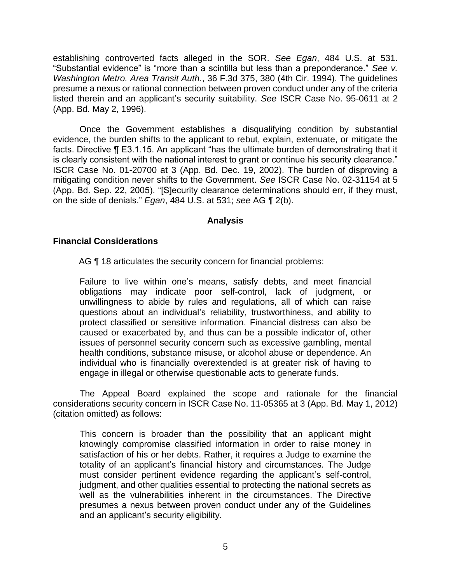establishing controverted facts alleged in the SOR. *See Egan*, 484 U.S. at 531. "Substantial evidence" is "more than a scintilla but less than a preponderance." *See v. Washington Metro. Area Transit Auth.*, 36 F.3d 375, 380 (4th Cir. 1994). The guidelines presume a nexus or rational connection between proven conduct under any of the criteria listed therein and an applicant's security suitability. *See* ISCR Case No. 95-0611 at 2 (App. Bd. May 2, 1996).

Once the Government establishes a disqualifying condition by substantial evidence, the burden shifts to the applicant to rebut, explain, extenuate, or mitigate the facts. Directive ¶ E3.1.15. An applicant "has the ultimate burden of demonstrating that it is clearly consistent with the national interest to grant or continue his security clearance." ISCR Case No. 01-20700 at 3 (App. Bd. Dec. 19, 2002). The burden of disproving a mitigating condition never shifts to the Government. *See* ISCR Case No. 02-31154 at 5 (App. Bd. Sep. 22, 2005). "[S]ecurity clearance determinations should err, if they must, on the side of denials." *Egan*, 484 U.S. at 531; *see* AG ¶ 2(b).

## **Analysis**

## **Financial Considerations**

AG ¶ 18 articulates the security concern for financial problems:

 Failure to live within one's means, satisfy debts, and meet financial obligations may indicate poor self-control, lack of judgment, or unwillingness to abide by rules and regulations, all of which can raise questions about an individual's reliability, trustworthiness, and ability to protect classified or sensitive information. Financial distress can also be caused or exacerbated by, and thus can be a possible indicator of, other issues of personnel security concern such as excessive gambling, mental engage in illegal or otherwise questionable acts to generate funds. health conditions, substance misuse, or alcohol abuse or dependence. An individual who is financially overextended is at greater risk of having to

 The Appeal Board explained the scope and rationale for the financial considerations security concern in ISCR Case No. 11-05365 at 3 (App. Bd. May 1, 2012) (citation omitted) as follows:

 This concern is broader than the possibility that an applicant might knowingly compromise classified information in order to raise money in satisfaction of his or her debts. Rather, it requires a Judge to examine the totality of an applicant's financial history and circumstances. The Judge must consider pertinent evidence regarding the applicant's self-control, judgment, and other qualities essential to protecting the national secrets as well as the vulnerabilities inherent in the circumstances. The Directive presumes a nexus between proven conduct under any of the Guidelines and an applicant's security eligibility.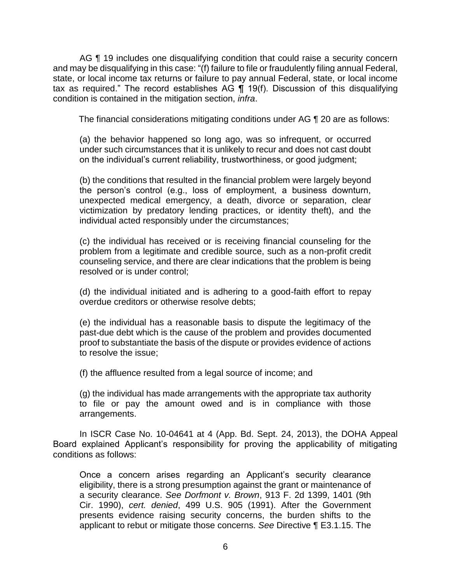AG ¶ 19 includes one disqualifying condition that could raise a security concern and may be disqualifying in this case: "(f) failure to file or fraudulently filing annual Federal, state, or local income tax returns or failure to pay annual Federal, state, or local income tax as required." The record establishes AG ¶ 19(f). Discussion of this disqualifying condition is contained in the mitigation section, *infra*.

The financial considerations mitigating conditions under AG ¶ 20 are as follows:

(a) the behavior happened so long ago, was so infrequent, or occurred under such circumstances that it is unlikely to recur and does not cast doubt on the individual's current reliability, trustworthiness, or good judgment;

(b) the conditions that resulted in the financial problem were largely beyond the person's control (e.g., loss of employment, a business downturn, unexpected medical emergency, a death, divorce or separation, clear victimization by predatory lending practices, or identity theft), and the individual acted responsibly under the circumstances;

 (c) the individual has received or is receiving financial counseling for the problem from a legitimate and credible source, such as a non-profit credit counseling service, and there are clear indications that the problem is being resolved or is under control;

 (d) the individual initiated and is adhering to a good-faith effort to repay overdue creditors or otherwise resolve debts;

 (e) the individual has a reasonable basis to dispute the legitimacy of the proof to substantiate the basis of the dispute or provides evidence of actions past-due debt which is the cause of the problem and provides documented to resolve the issue;

(f) the affluence resulted from a legal source of income; and

 (g) the individual has made arrangements with the appropriate tax authority to file or pay the amount owed and is in compliance with those arrangements.

In ISCR Case No. 10-04641 at 4 (App. Bd. Sept. 24, 2013), the DOHA Appeal Board explained Applicant's responsibility for proving the applicability of mitigating conditions as follows:

Once a concern arises regarding an Applicant's security clearance eligibility, there is a strong presumption against the grant or maintenance of a security clearance. *See Dorfmont v. Brown*, 913 F. 2d 1399, 1401 (9th Cir. 1990), *cert. denied*, 499 U.S. 905 (1991). After the Government presents evidence raising security concerns, the burden shifts to the applicant to rebut or mitigate those concerns. *See* Directive ¶ E3.1.15. The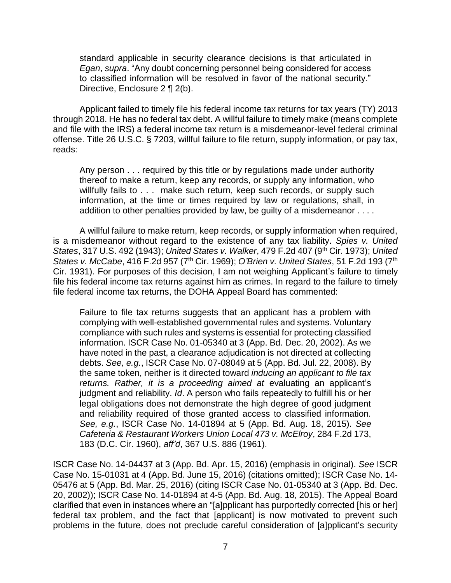standard applicable in security clearance decisions is that articulated in *Egan*, *supra*. "Any doubt concerning personnel being considered for access to classified information will be resolved in favor of the national security." Directive, Enclosure 2 ¶ 2(b).

 Applicant failed to timely file his federal income tax returns for tax years (TY) 2013 through 2018. He has no federal tax debt. A willful failure to timely make (means complete offense. Title 26 U.S.C. § 7203, willful failure to file return, supply information, or pay tax, and file with the IRS) a federal income tax return is a misdemeanor-level federal criminal reads:

 Any person . . . required by this title or by regulations made under authority thereof to make a return, keep any records, or supply any information, who willfully fails to . . . make such return, keep such records, or supply such information, at the time or times required by law or regulations, shall, in addition to other penalties provided by law, be guilty of a misdemeanor . . . .

A willful failure to make return, keep records, or supply information when required, is a misdemeanor without regard to the existence of any tax liability. *Spies v. United States*, 317 U.S. 492 (1943); *United States v. Walker*, 479 F.2d 407 (9th Cir. 1973); *United States v. McCabe*, 416 F.2d 957 (7th Cir. 1969); *O'Brien v. United States*, 51 F.2d 193 (7th Cir. 1931). For purposes of this decision, I am not weighing Applicant's failure to timely file his federal income tax returns against him as crimes. In regard to the failure to timely file federal income tax returns, the DOHA Appeal Board has commented:

 Failure to file tax returns suggests that an applicant has a problem with compliance with such rules and systems is essential for protecting classified information. ISCR Case No. 01-05340 at 3 (App. Bd. Dec. 20, 2002). As we have noted in the past, a clearance adjudication is not directed at collecting debts. *See, e.g.*, ISCR Case No. 07-08049 at 5 (App. Bd. Jul. 22, 2008). By the same token, neither is it directed toward *inducing an applicant to file tax*  returns. Rather, it is a proceeding aimed at evaluating an applicant's judgment and reliability. *Id*. A person who fails repeatedly to fulfill his or her legal obligations does not demonstrate the high degree of good judgment and reliability required of those granted access to classified information. *See, e.g.*, ISCR Case No. 14-01894 at 5 (App. Bd. Aug. 18, 2015). *See Cafeteria & Restaurant Workers Union Local 473 v. McElroy*, 284 F.2d 173, complying with well-established governmental rules and systems. Voluntary 183 (D.C. Cir. 1960), *aff'd*, 367 U.S. 886 (1961).

ISCR Case No. 14-04437 at 3 (App. Bd. Apr. 15, 2016) (emphasis in original). *See* ISCR Case No. 15-01031 at 4 (App. Bd. June 15, 2016) (citations omitted); ISCR Case No. 14- 05476 at 5 (App. Bd. Mar. 25, 2016) (citing ISCR Case No. 01-05340 at 3 (App. Bd. Dec. 20, 2002)); ISCR Case No. 14-01894 at 4-5 (App. Bd. Aug. 18, 2015). The Appeal Board clarified that even in instances where an "[a]pplicant has purportedly corrected [his or her] federal tax problem, and the fact that [applicant] is now motivated to prevent such problems in the future, does not preclude careful consideration of [a]pplicant's security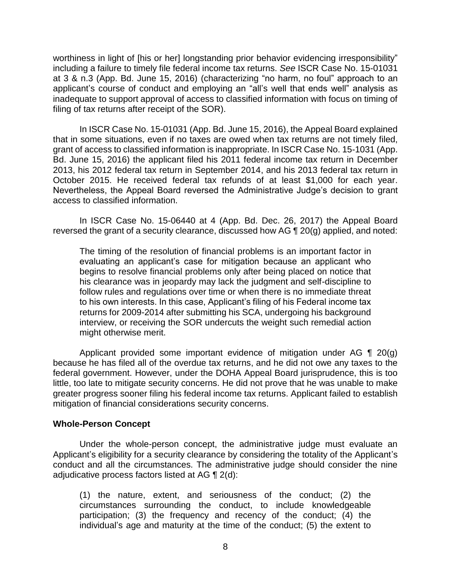including a failure to timely file federal income tax returns. *See* ISCR Case No. 15-01031 at 3 & n.3 (App. Bd. June 15, 2016) (characterizing "no harm, no foul" approach to an inadequate to support approval of access to classified information with focus on timing of worthiness in light of [his or her] longstanding prior behavior evidencing irresponsibility" applicant's course of conduct and employing an "all's well that ends well" analysis as filing of tax returns after receipt of the SOR).

 In ISCR Case No. 15-01031 (App. Bd. June 15, 2016), the Appeal Board explained that in some situations, even if no taxes are owed when tax returns are not timely filed, grant of access to classified information is inappropriate. In ISCR Case No. 15-1031 (App. Bd. June 15, 2016) the applicant filed his 2011 federal income tax return in December 2013, his 2012 federal tax return in September 2014, and his 2013 federal tax return in October 2015. He received federal tax refunds of at least \$1,000 for each year. Nevertheless, the Appeal Board reversed the Administrative Judge's decision to grant access to classified information.

 In ISCR Case No. 15-06440 at 4 (App. Bd. Dec. 26, 2017) the Appeal Board reversed the grant of a security clearance, discussed how AG ¶ 20(g) applied, and noted:

The timing of the resolution of financial problems is an important factor in evaluating an applicant's case for mitigation because an applicant who begins to resolve financial problems only after being placed on notice that his clearance was in jeopardy may lack the judgment and self-discipline to follow rules and regulations over time or when there is no immediate threat to his own interests. In this case, Applicant's filing of his Federal income tax returns for 2009-2014 after submitting his SCA, undergoing his background interview, or receiving the SOR undercuts the weight such remedial action might otherwise merit.

Applicant provided some important evidence of mitigation under AG  $\P$  20(g) because he has filed all of the overdue tax returns, and he did not owe any taxes to the federal government. However, under the DOHA Appeal Board jurisprudence, this is too little, too late to mitigate security concerns. He did not prove that he was unable to make greater progress sooner filing his federal income tax returns. Applicant failed to establish mitigation of financial considerations security concerns.

## **Whole-Person Concept**

 Under the whole-person concept, the administrative judge must evaluate an conduct and all the circumstances. The administrative judge should consider the nine adjudicative process factors listed at AG  $\P$  2(d): Applicant's eligibility for a security clearance by considering the totality of the Applicant's

(1) the nature, extent, and seriousness of the conduct; (2) the circumstances surrounding the conduct, to include knowledgeable participation; (3) the frequency and recency of the conduct; (4) the individual's age and maturity at the time of the conduct; (5) the extent to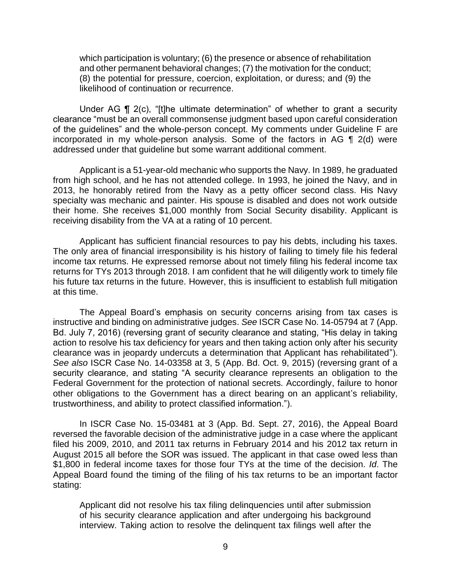which participation is voluntary; (6) the presence or absence of rehabilitation and other permanent behavioral changes; (7) the motivation for the conduct; (8) the potential for pressure, coercion, exploitation, or duress; and (9) the likelihood of continuation or recurrence.

 clearance "must be an overall commonsense judgment based upon careful consideration of the guidelines" and the whole-person concept. My comments under Guideline F are incorporated in my whole-person analysis. Some of the factors in AG ¶ 2(d) were Under AG ¶ 2(c), "[t]he ultimate determination" of whether to grant a security addressed under that guideline but some warrant additional comment.

 Applicant is a 51-year-old mechanic who supports the Navy. In 1989, he graduated from high school, and he has not attended college. In 1993, he joined the Navy, and in 2013, he honorably retired from the Navy as a petty officer second class. His Navy specialty was mechanic and painter. His spouse is disabled and does not work outside their home. She receives \$1,000 monthly from Social Security disability. Applicant is receiving disability from the VA at a rating of 10 percent.

 Applicant has sufficient financial resources to pay his debts, including his taxes. The only area of financial irresponsibility is his history of failing to timely file his federal income tax returns. He expressed remorse about not timely filing his federal income tax returns for TYs 2013 through 2018. I am confident that he will diligently work to timely file his future tax returns in the future. However, this is insufficient to establish full mitigation at this time.

 The Appeal Board's emphasis on security concerns arising from tax cases is instructive and binding on administrative judges. *See* ISCR Case No. 14-05794 at 7 (App. Bd. July 7, 2016) (reversing grant of security clearance and stating, "His delay in taking action to resolve his tax deficiency for years and then taking action only after his security clearance was in jeopardy undercuts a determination that Applicant has rehabilitated"). *See also* ISCR Case No. 14-03358 at 3, 5 (App. Bd. Oct. 9, 2015) (reversing grant of a security clearance, and stating "A security clearance represents an obligation to the Federal Government for the protection of national secrets. Accordingly, failure to honor other obligations to the Government has a direct bearing on an applicant's reliability, trustworthiness, and ability to protect classified information.").

 In ISCR Case No. 15-03481 at 3 (App. Bd. Sept. 27, 2016), the Appeal Board reversed the favorable decision of the administrative judge in a case where the applicant filed his 2009, 2010, and 2011 tax returns in February 2014 and his 2012 tax return in August 2015 all before the SOR was issued. The applicant in that case owed less than \$1,800 in federal income taxes for those four TYs at the time of the decision. *Id*. The Appeal Board found the timing of the filing of his tax returns to be an important factor stating:

 Applicant did not resolve his tax filing delinquencies until after submission of his security clearance application and after undergoing his background interview. Taking action to resolve the delinquent tax filings well after the